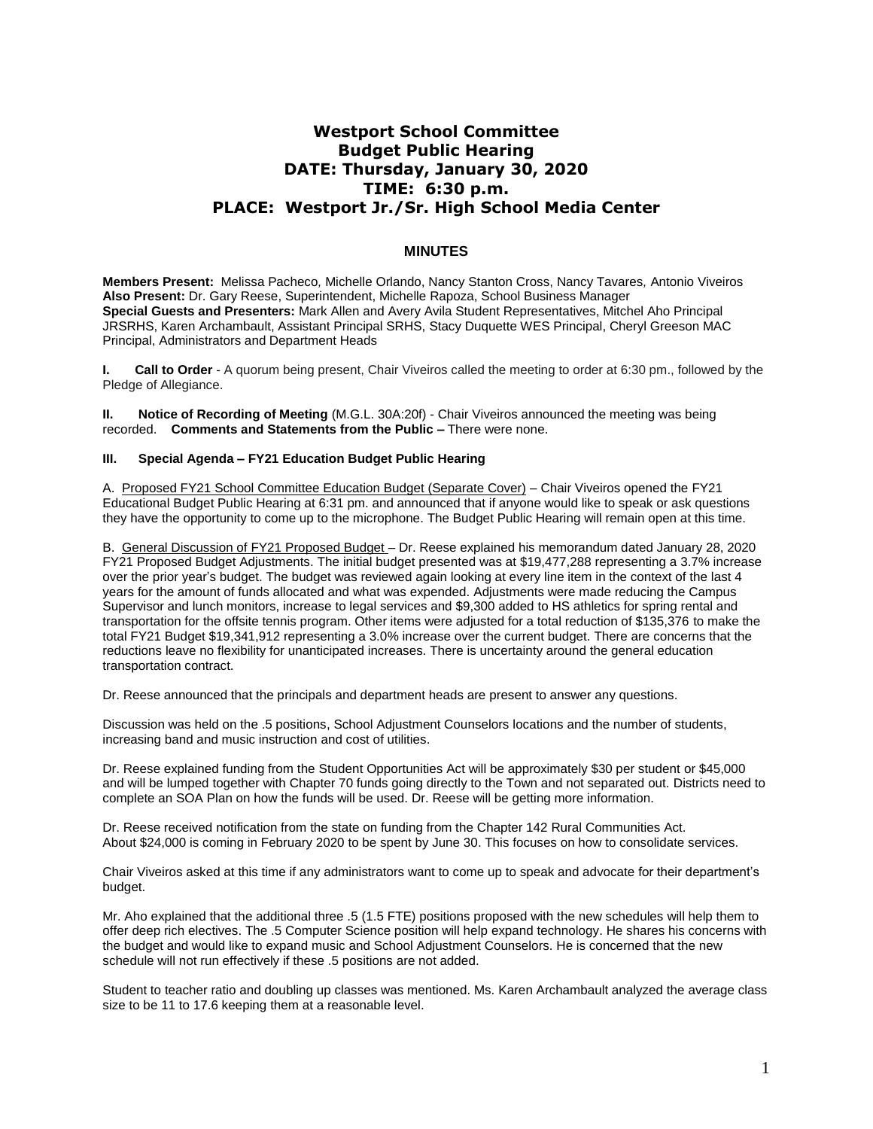# **Westport School Committee Budget Public Hearing DATE: Thursday, January 30, 2020 TIME: 6:30 p.m. PLACE: Westport Jr./Sr. High School Media Center**

## **MINUTES**

**Members Present:** Melissa Pacheco*,* Michelle Orlando, Nancy Stanton Cross, Nancy Tavares*,* Antonio Viveiros **Also Present:** Dr. Gary Reese, Superintendent, Michelle Rapoza, School Business Manager **Special Guests and Presenters:** Mark Allen and Avery Avila Student Representatives, Mitchel Aho Principal JRSRHS, Karen Archambault, Assistant Principal SRHS, Stacy Duquette WES Principal, Cheryl Greeson MAC Principal, Administrators and Department Heads

**I. Call to Order** - A quorum being present, Chair Viveiros called the meeting to order at 6:30 pm., followed by the Pledge of Allegiance.

**II. Notice of Recording of Meeting** (M.G.L. 30A:20f) - Chair Viveiros announced the meeting was being recorded. **Comments and Statements from the Public –** There were none.

#### **III. Special Agenda – FY21 Education Budget Public Hearing**

A. Proposed FY21 School Committee Education Budget (Separate Cover) – Chair Viveiros opened the FY21 Educational Budget Public Hearing at 6:31 pm. and announced that if anyone would like to speak or ask questions they have the opportunity to come up to the microphone. The Budget Public Hearing will remain open at this time.

B. General Discussion of FY21 Proposed Budget – Dr. Reese explained his memorandum dated January 28, 2020 FY21 Proposed Budget Adjustments. The initial budget presented was at \$19,477,288 representing a 3.7% increase over the prior year's budget. The budget was reviewed again looking at every line item in the context of the last 4 years for the amount of funds allocated and what was expended. Adjustments were made reducing the Campus Supervisor and lunch monitors, increase to legal services and \$9,300 added to HS athletics for spring rental and transportation for the offsite tennis program. Other items were adjusted for a total reduction of \$135,376 to make the total FY21 Budget \$19,341,912 representing a 3.0% increase over the current budget. There are concerns that the reductions leave no flexibility for unanticipated increases. There is uncertainty around the general education transportation contract.

Dr. Reese announced that the principals and department heads are present to answer any questions.

Discussion was held on the .5 positions, School Adjustment Counselors locations and the number of students, increasing band and music instruction and cost of utilities.

Dr. Reese explained funding from the Student Opportunities Act will be approximately \$30 per student or \$45,000 and will be lumped together with Chapter 70 funds going directly to the Town and not separated out. Districts need to complete an SOA Plan on how the funds will be used. Dr. Reese will be getting more information.

Dr. Reese received notification from the state on funding from the Chapter 142 Rural Communities Act. About \$24,000 is coming in February 2020 to be spent by June 30. This focuses on how to consolidate services.

Chair Viveiros asked at this time if any administrators want to come up to speak and advocate for their department's budget.

Mr. Aho explained that the additional three .5 (1.5 FTE) positions proposed with the new schedules will help them to offer deep rich electives. The .5 Computer Science position will help expand technology. He shares his concerns with the budget and would like to expand music and School Adjustment Counselors. He is concerned that the new schedule will not run effectively if these .5 positions are not added.

Student to teacher ratio and doubling up classes was mentioned. Ms. Karen Archambault analyzed the average class size to be 11 to 17.6 keeping them at a reasonable level.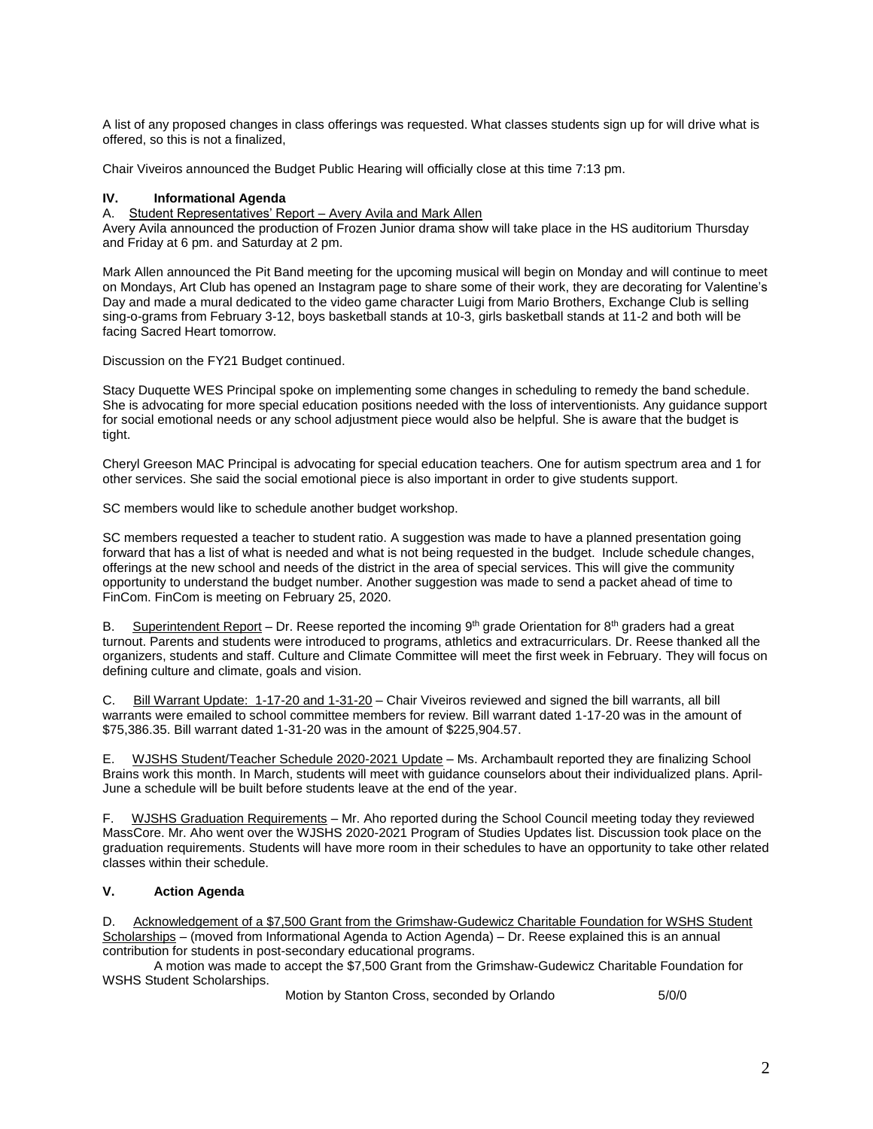A list of any proposed changes in class offerings was requested. What classes students sign up for will drive what is offered, so this is not a finalized,

Chair Viveiros announced the Budget Public Hearing will officially close at this time 7:13 pm.

### **IV. Informational Agenda**

#### A. Student Representatives' Report – Avery Avila and Mark Allen

Avery Avila announced the production of Frozen Junior drama show will take place in the HS auditorium Thursday and Friday at 6 pm. and Saturday at 2 pm.

Mark Allen announced the Pit Band meeting for the upcoming musical will begin on Monday and will continue to meet on Mondays, Art Club has opened an Instagram page to share some of their work, they are decorating for Valentine's Day and made a mural dedicated to the video game character Luigi from Mario Brothers, Exchange Club is selling sing-o-grams from February 3-12, boys basketball stands at 10-3, girls basketball stands at 11-2 and both will be facing Sacred Heart tomorrow.

Discussion on the FY21 Budget continued.

Stacy Duquette WES Principal spoke on implementing some changes in scheduling to remedy the band schedule. She is advocating for more special education positions needed with the loss of interventionists. Any guidance support for social emotional needs or any school adjustment piece would also be helpful. She is aware that the budget is tight.

Cheryl Greeson MAC Principal is advocating for special education teachers. One for autism spectrum area and 1 for other services. She said the social emotional piece is also important in order to give students support.

SC members would like to schedule another budget workshop.

SC members requested a teacher to student ratio. A suggestion was made to have a planned presentation going forward that has a list of what is needed and what is not being requested in the budget. Include schedule changes, offerings at the new school and needs of the district in the area of special services. This will give the community opportunity to understand the budget number. Another suggestion was made to send a packet ahead of time to FinCom. FinCom is meeting on February 25, 2020.

B. Superintendent Report – Dr. Reese reported the incoming 9<sup>th</sup> grade Orientation for 8<sup>th</sup> graders had a great turnout. Parents and students were introduced to programs, athletics and extracurriculars. Dr. Reese thanked all the organizers, students and staff. Culture and Climate Committee will meet the first week in February. They will focus on defining culture and climate, goals and vision.

C. Bill Warrant Update: 1-17-20 and 1-31-20 – Chair Viveiros reviewed and signed the bill warrants, all bill warrants were emailed to school committee members for review. Bill warrant dated 1-17-20 was in the amount of \$75,386.35. Bill warrant dated 1-31-20 was in the amount of \$225,904.57.

E. WJSHS Student/Teacher Schedule 2020-2021 Update – Ms. Archambault reported they are finalizing School Brains work this month. In March, students will meet with guidance counselors about their individualized plans. April-June a schedule will be built before students leave at the end of the year.

F. WJSHS Graduation Requirements – Mr. Aho reported during the School Council meeting today they reviewed MassCore. Mr. Aho went over the WJSHS 2020-2021 Program of Studies Updates list. Discussion took place on the graduation requirements. Students will have more room in their schedules to have an opportunity to take other related classes within their schedule.

### **V. Action Agenda**

D. Acknowledgement of a \$7,500 Grant from the Grimshaw-Gudewicz Charitable Foundation for WSHS Student Scholarships – (moved from Informational Agenda to Action Agenda) – Dr. Reese explained this is an annual contribution for students in post-secondary educational programs.

A motion was made to accept the \$7,500 Grant from the Grimshaw-Gudewicz Charitable Foundation for WSHS Student Scholarships.

Motion by Stanton Cross, seconded by Orlando 5/0/0